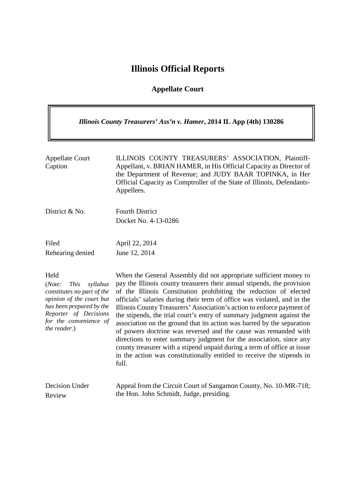# **Illinois Official Reports**

## **Appellate Court**

| Illinois County Treasurers' Ass'n v. Hamer, 2014 IL App (4th) 130286                                                                                                                               |                                                                                                                                                                                                                                                                                                                                                                                                                                                                                                                                                                                                                                                                                                                                                                                                                                    |  |
|----------------------------------------------------------------------------------------------------------------------------------------------------------------------------------------------------|------------------------------------------------------------------------------------------------------------------------------------------------------------------------------------------------------------------------------------------------------------------------------------------------------------------------------------------------------------------------------------------------------------------------------------------------------------------------------------------------------------------------------------------------------------------------------------------------------------------------------------------------------------------------------------------------------------------------------------------------------------------------------------------------------------------------------------|--|
| <b>Appellate Court</b><br>Caption                                                                                                                                                                  | ILLINOIS COUNTY TREASURERS' ASSOCIATION, Plaintiff-<br>Appellant, v. BRIAN HAMER, in His Official Capacity as Director of<br>the Department of Revenue; and JUDY BAAR TOPINKA, in Her<br>Official Capacity as Comptroller of the State of Illinois, Defendants-<br>Appellees.                                                                                                                                                                                                                                                                                                                                                                                                                                                                                                                                                      |  |
| District & No.                                                                                                                                                                                     | <b>Fourth District</b><br>Docket No. 4-13-0286                                                                                                                                                                                                                                                                                                                                                                                                                                                                                                                                                                                                                                                                                                                                                                                     |  |
| Filed<br>Rehearing denied                                                                                                                                                                          | April 22, 2014<br>June 12, 2014                                                                                                                                                                                                                                                                                                                                                                                                                                                                                                                                                                                                                                                                                                                                                                                                    |  |
| Held<br>(Note:<br><b>This</b><br>syllabus<br>constitutes no part of the<br>opinion of the court but<br>has been prepared by the<br>Reporter of Decisions<br>for the convenience of<br>the reader.) | When the General Assembly did not appropriate sufficient money to<br>pay the Illinois county treasurers their annual stipends, the provision<br>of the Illinois Constitution prohibiting the reduction of elected<br>officials' salaries during their term of office was violated, and in the<br>Illinois County Treasurers' Association's action to enforce payment of<br>the stipends, the trial court's entry of summary judgment against the<br>association on the ground that its action was barred by the separation<br>of powers doctrine was reversed and the cause was remanded with<br>directions to enter summary judgment for the association, since any<br>county treasurer with a stipend unpaid during a term of office at issue<br>in the action was constitutionally entitled to receive the stipends in<br>full. |  |
| Decision Under                                                                                                                                                                                     | Appeal from the Circuit Court of Sangamon County, No. 10-MR-718;                                                                                                                                                                                                                                                                                                                                                                                                                                                                                                                                                                                                                                                                                                                                                                   |  |

Review

Appeal from the Circuit Court of Sangamon County, No. 10-MR-718; the Hon. John Schmidt, Judge, presiding.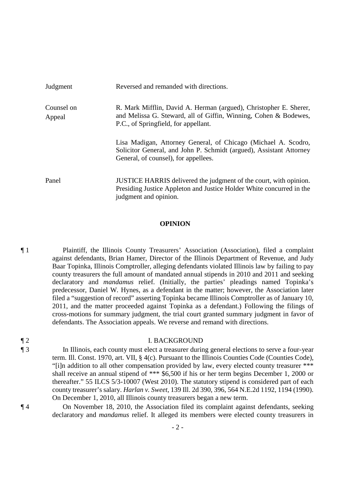| Judgment             | Reversed and remanded with directions.                                                                                                                                        |
|----------------------|-------------------------------------------------------------------------------------------------------------------------------------------------------------------------------|
| Counsel on<br>Appeal | R. Mark Mifflin, David A. Herman (argued), Christopher E. Sherer,<br>and Melissa G. Steward, all of Giffin, Winning, Cohen & Bodewes,<br>P.C., of Springfield, for appellant. |
|                      | Lisa Madigan, Attorney General, of Chicago (Michael A. Scodro,<br>Solicitor General, and John P. Schmidt (argued), Assistant Attorney<br>General, of counsel), for appellees. |
| Panel                | JUSTICE HARRIS delivered the judgment of the court, with opinion.<br>Presiding Justice Appleton and Justice Holder White concurred in the<br>judgment and opinion.            |

### **OPINION**

¶ 1 Plaintiff, the Illinois County Treasurers' Association (Association), filed a complaint against defendants, Brian Hamer, Director of the Illinois Department of Revenue, and Judy Baar Topinka, Illinois Comptroller, alleging defendants violated Illinois law by failing to pay county treasurers the full amount of mandated annual stipends in 2010 and 2011 and seeking declaratory and *mandamus* relief. (Initially, the parties' pleadings named Topinka's predecessor, Daniel W. Hynes, as a defendant in the matter; however, the Association later filed a "suggestion of record" asserting Topinka became Illinois Comptroller as of January 10, 2011, and the matter proceeded against Topinka as a defendant.) Following the filings of cross-motions for summary judgment, the trial court granted summary judgment in favor of defendants. The Association appeals. We reverse and remand with directions.

### ¶ 2 I. BACKGROUND

¶ 3 In Illinois, each county must elect a treasurer during general elections to serve a four-year term. Ill. Const. 1970, art. VII, § 4(c). Pursuant to the Illinois Counties Code (Counties Code), "[i]n addition to all other compensation provided by law, every elected county treasurer \*\*\* shall receive an annual stipend of \*\*\* \$6,500 if his or her term begins December 1, 2000 or thereafter." 55 ILCS 5/3-10007 (West 2010). The statutory stipend is considered part of each county treasurer's salary. *Harlan v. Sweet*, 139 Ill. 2d 390, 396, 564 N.E.2d 1192, 1194 (1990). On December 1, 2010, all Illinois county treasurers began a new term.

¶ 4 On November 18, 2010, the Association filed its complaint against defendants, seeking declaratory and *mandamus* relief. It alleged its members were elected county treasurers in

- 2 -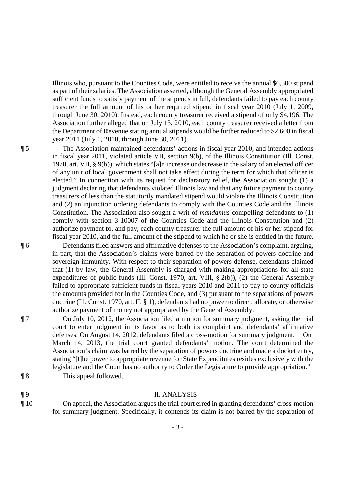Illinois who, pursuant to the Counties Code, were entitled to receive the annual \$6,500 stipend as part of their salaries. The Association asserted, although the General Assembly appropriated sufficient funds to satisfy payment of the stipends in full, defendants failed to pay each county treasurer the full amount of his or her required stipend in fiscal year 2010 (July 1, 2009, through June 30, 2010). Instead, each county treasurer received a stipend of only \$4,196. The Association further alleged that on July 13, 2010, each county treasurer received a letter from the Department of Revenue stating annual stipends would be further reduced to \$2,600 in fiscal year 2011 (July 1, 2010, through June 30, 2011).

¶ 5 The Association maintained defendants' actions in fiscal year 2010, and intended actions in fiscal year 2011, violated article VII, section 9(b), of the Illinois Constitution (Ill. Const. 1970, art. VII, § 9(b)), which states "[a]n increase or decrease in the salary of an elected officer of any unit of local government shall not take effect during the term for which that officer is elected." In connection with its request for declaratory relief, the Association sought (1) a judgment declaring that defendants violated Illinois law and that any future payment to county treasurers of less than the statutorily mandated stipend would violate the Illinois Constitution and (2) an injunction ordering defendants to comply with the Counties Code and the Illinois Constitution. The Association also sought a writ of *mandamus* compelling defendants to (1) comply with section 3-10007 of the Counties Code and the Illinois Constitution and (2) authorize payment to, and pay, each county treasurer the full amount of his or her stipend for fiscal year 2010, and the full amount of the stipend to which he or she is entitled in the future.

¶ 6 Defendants filed answers and affirmative defenses to the Association's complaint, arguing, in part, that the Association's claims were barred by the separation of powers doctrine and sovereign immunity. With respect to their separation of powers defense, defendants claimed that (1) by law, the General Assembly is charged with making appropriations for all state expenditures of public funds (Ill. Const. 1970, art. VIII, § 2(b)), (2) the General Assembly failed to appropriate sufficient funds in fiscal years 2010 and 2011 to pay to county officials the amounts provided for in the Counties Code, and (3) pursuant to the separations of powers doctrine (Ill. Const. 1970, art. II, § 1), defendants had no power to direct, allocate, or otherwise authorize payment of money not appropriated by the General Assembly.

¶ 7 On July 10, 2012, the Association filed a motion for summary judgment, asking the trial court to enter judgment in its favor as to both its complaint and defendants' affirmative defenses. On August 14, 2012, defendants filed a cross-motion for summary judgment. On March 14, 2013, the trial court granted defendants' motion. The court determined the Association's claim was barred by the separation of powers doctrine and made a docket entry, stating "[t]he power to appropriate revenue for State Expenditures resides exclusively with the legislature and the Court has no authority to Order the Legislature to provide appropriation."

¶ 8 This appeal followed.

### ¶ 9 II. ANALYSIS

¶ 10 On appeal, the Association argues the trial court erred in granting defendants' cross-motion for summary judgment. Specifically, it contends its claim is not barred by the separation of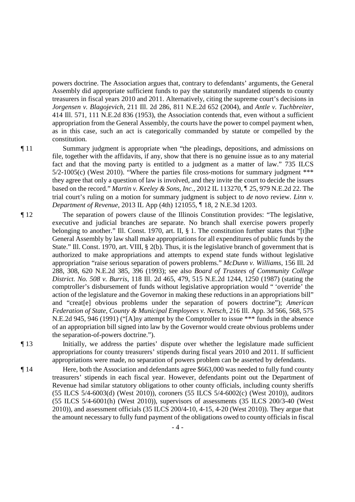powers doctrine. The Association argues that, contrary to defendants' arguments, the General Assembly did appropriate sufficient funds to pay the statutorily mandated stipends to county treasurers in fiscal years 2010 and 2011. Alternatively, citing the supreme court's decisions in *Jorgensen v. Blagojevich*, 211 Ill. 2d 286, 811 N.E.2d 652 (2004), and *Antle v. Tuchbreiter*, 414 Ill. 571, 111 N.E.2d 836 (1953), the Association contends that, even without a sufficient appropriation from the General Assembly, the courts have the power to compel payment when, as in this case, such an act is categorically commanded by statute or compelled by the constitution.

- ¶ 11 Summary judgment is appropriate when "the pleadings, depositions, and admissions on file, together with the affidavits, if any, show that there is no genuine issue as to any material fact and that the moving party is entitled to a judgment as a matter of law." 735 ILCS 5/2-1005(c) (West 2010). "Where the parties file cross-motions for summary judgment \*\*\* they agree that only a question of law is involved, and they invite the court to decide the issues based on the record." *Martin v. Keeley & Sons, Inc.*, 2012 IL 113270, ¶ 25, 979 N.E.2d 22. The trial court's ruling on a motion for summary judgment is subject to *de novo* review. *Linn v. Department of Revenue*, 2013 IL App (4th) 121055, ¶ 18, 2 N.E.3d 1203.
- ¶ 12 The separation of powers clause of the Illinois Constitution provides: "The legislative, executive and judicial branches are separate. No branch shall exercise powers properly belonging to another." Ill. Const. 1970, art. II, § 1. The constitution further states that "[t]he General Assembly by law shall make appropriations for all expenditures of public funds by the State." Ill. Const. 1970, art. VIII, § 2(b). Thus, it is the legislative branch of government that is authorized to make appropriations and attempts to expend state funds without legislative appropriation "raise serious separation of powers problems." *McDunn v. Williams*, 156 Ill. 2d 288, 308, 620 N.E.2d 385, 396 (1993); see also *Board of Trustees of Community College District. No. 508 v. Burris*, 118 Ill. 2d 465, 479, 515 N.E.2d 1244, 1250 (1987) (stating the comptroller's disbursement of funds without legislative appropriation would " 'override' the action of the legislature and the Governor in making these reductions in an appropriations bill" and "creat[e] obvious problems under the separation of powers doctrine"); *American Federation of State, County & Municipal Employees v. Netsch*, 216 Ill. App. 3d 566, 568, 575 N.E.2d 945, 946 (1991) ("[A]ny attempt by the Comptroller to issue \*\*\* funds in the absence of an appropriation bill signed into law by the Governor would create obvious problems under the separation-of-powers doctrine.").
- 

¶ 13 Initially, we address the parties' dispute over whether the legislature made sufficient appropriations for county treasurers' stipends during fiscal years 2010 and 2011. If sufficient appropriations were made, no separation of powers problem can be asserted by defendants.

¶ 14 Here, both the Association and defendants agree \$663,000 was needed to fully fund county treasurers' stipends in each fiscal year. However, defendants point out the Department of Revenue had similar statutory obligations to other county officials, including county sheriffs (55 ILCS 5/4-6003(d) (West 2010)), coroners (55 ILCS 5/4-6002(c) (West 2010)), auditors (55 ILCS 5/4-6001(h) (West 2010)), supervisors of assessments (35 ILCS 200/3-40 (West 2010)), and assessment officials (35 ILCS 200/4-10, 4-15, 4-20 (West 2010)). They argue that the amount necessary to fully fund payment of the obligations owed to county officials in fiscal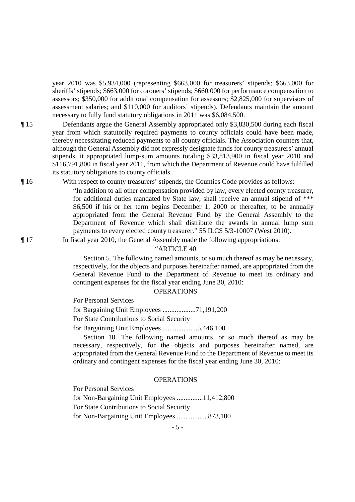year 2010 was \$5,934,000 (representing \$663,000 for treasurers' stipends; \$663,000 for sheriffs' stipends; \$663,000 for coroners' stipends; \$660,000 for performance compensation to assessors; \$350,000 for additional compensation for assessors; \$2,825,000 for supervisors of assessment salaries; and \$110,000 for auditors' stipends). Defendants maintain the amount necessary to fully fund statutory obligations in 2011 was \$6,084,500.

¶ 15 Defendants argue the General Assembly appropriated only \$3,830,500 during each fiscal year from which statutorily required payments to county officials could have been made, thereby necessitating reduced payments to all county officials. The Association counters that, although the General Assembly did not expressly designate funds for county treasurers' annual stipends, it appropriated lump-sum amounts totaling \$33,813,900 in fiscal year 2010 and \$116,791,800 in fiscal year 2011, from which the Department of Revenue could have fulfilled its statutory obligations to county officials.

¶ 16 With respect to county treasurers' stipends, the Counties Code provides as follows:

"In addition to all other compensation provided by law, every elected county treasurer, for additional duties mandated by State law, shall receive an annual stipend of \*\*\* \$6,500 if his or her term begins December 1, 2000 or thereafter, to be annually appropriated from the General Revenue Fund by the General Assembly to the Department of Revenue which shall distribute the awards in annual lump sum payments to every elected county treasurer." 55 ILCS 5/3-10007 (West 2010).

¶ 17 In fiscal year 2010, the General Assembly made the following appropriations:

### "ARTICLE 40

 Section 5. The following named amounts, or so much thereof as may be necessary, respectively, for the objects and purposes hereinafter named, are appropriated from the General Revenue Fund to the Department of Revenue to meet its ordinary and contingent expenses for the fiscal year ending June 30, 2010:

**OPERATIONS** 

For Personal Services

for Bargaining Unit Employees ...................71,191,200

For State Contributions to Social Security

for Bargaining Unit Employees ....................5,446,100

 Section 10. The following named amounts, or so much thereof as may be necessary, respectively, for the objects and purposes hereinafter named, are appropriated from the General Revenue Fund to the Department of Revenue to meet its ordinary and contingent expenses for the fiscal year ending June 30, 2010:

### **OPERATIONS**

For Personal Services

for Non-Bargaining Unit Employees ...............11,412,800 For State Contributions to Social Security for Non-Bargaining Unit Employees ..................873,100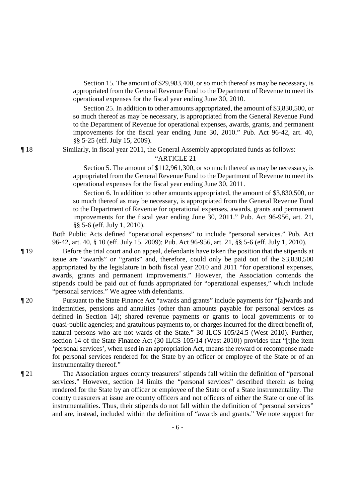Section 15. The amount of \$29,983,400, or so much thereof as may be necessary, is appropriated from the General Revenue Fund to the Department of Revenue to meet its operational expenses for the fiscal year ending June 30, 2010.

 Section 25. In addition to other amounts appropriated, the amount of \$3,830,500, or so much thereof as may be necessary, is appropriated from the General Revenue Fund to the Department of Revenue for operational expenses, awards, grants, and permanent improvements for the fiscal year ending June 30, 2010." Pub. Act 96-42, art. 40, §§ 5-25 (eff. July 15, 2009).

¶ 18 Similarly, in fiscal year 2011, the General Assembly appropriated funds as follows:

### "ARTICLE 21

 Section 5. The amount of \$112,961,300, or so much thereof as may be necessary, is appropriated from the General Revenue Fund to the Department of Revenue to meet its operational expenses for the fiscal year ending June 30, 2011.

 Section 6. In addition to other amounts appropriated, the amount of \$3,830,500, or so much thereof as may be necessary, is appropriated from the General Revenue Fund to the Department of Revenue for operational expenses, awards, grants and permanent improvements for the fiscal year ending June 30, 2011." Pub. Act 96-956, art. 21, §§ 5-6 (eff. July 1, 2010).

Both Public Acts defined "operational expenses" to include "personal services." Pub. Act 96-42, art. 40, § 10 (eff. July 15, 2009); Pub. Act 96-956, art. 21, §§ 5-6 (eff. July 1, 2010).

¶ 19 Before the trial court and on appeal, defendants have taken the position that the stipends at issue are "awards" or "grants" and, therefore, could only be paid out of the \$3,830,500 appropriated by the legislature in both fiscal year 2010 and 2011 "for operational expenses, awards, grants and permanent improvements." However, the Association contends the stipends could be paid out of funds appropriated for "operational expenses," which include "personal services." We agree with defendants.

- ¶ 20 Pursuant to the State Finance Act "awards and grants" include payments for "[a]wards and indemnities, pensions and annuities (other than amounts payable for personal services as defined in Section 14); shared revenue payments or grants to local governments or to quasi-public agencies; and gratuitous payments to, or charges incurred for the direct benefit of, natural persons who are not wards of the State." 30 ILCS 105/24.5 (West 2010). Further, section 14 of the State Finance Act (30 ILCS 105/14 (West 2010)) provides that "[t]he item 'personal services', when used in an appropriation Act, means the reward or recompense made for personal services rendered for the State by an officer or employee of the State or of an instrumentality thereof."
- ¶ 21 The Association argues county treasurers' stipends fall within the definition of "personal services." However, section 14 limits the "personal services" described therein as being rendered for the State by an officer or employee of the State or of a State instrumentality. The county treasurers at issue are county officers and not officers of either the State or one of its instrumentalities. Thus, their stipends do not fall within the definition of "personal services" and are, instead, included within the definition of "awards and grants." We note support for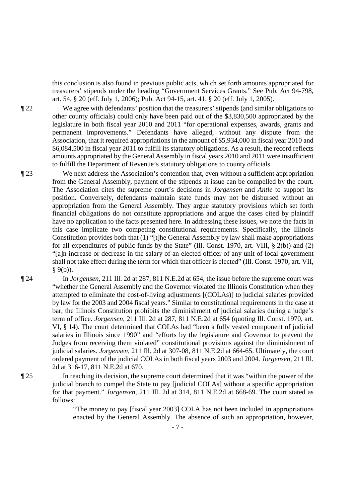this conclusion is also found in previous public acts, which set forth amounts appropriated for treasurers' stipends under the heading "Government Services Grants." See Pub. Act 94-798, art. 54, § 20 (eff. July 1, 2006); Pub. Act 94-15, art. 41, § 20 (eff. July 1, 2005).

¶ 22 We agree with defendants' position that the treasurers' stipends (and similar obligations to other county officials) could only have been paid out of the \$3,830,500 appropriated by the legislature in both fiscal year 2010 and 2011 "for operational expenses, awards, grants and permanent improvements." Defendants have alleged, without any dispute from the Association, that it required appropriations in the amount of \$5,934,000 in fiscal year 2010 and \$6,084,500 in fiscal year 2011 to fulfill its statutory obligations. As a result, the record reflects amounts appropriated by the General Assembly in fiscal years 2010 and 2011 were insufficient to fulfill the Department of Revenue's statutory obligations to county officials.

¶ 23 We next address the Association's contention that, even without a sufficient appropriation from the General Assembly, payment of the stipends at issue can be compelled by the court. The Association cites the supreme court's decisions in *Jorgensen* and *Antle* to support its position. Conversely, defendants maintain state funds may not be disbursed without an appropriation from the General Assembly. They argue statutory provisions which set forth financial obligations do not constitute appropriations and argue the cases cited by plaintiff have no application to the facts presented here. In addressing these issues, we note the facts in this case implicate two competing constitutional requirements. Specifically, the Illinois Constitution provides both that (1) "[t]he General Assembly by law shall make appropriations for all expenditures of public funds by the State" (Ill. Const. 1970, art. VIII, § 2(b)) and (2) "[a]n increase or decrease in the salary of an elected officer of any unit of local government shall not take effect during the term for which that officer is elected" (Ill. Const. 1970, art. VII,  $§ 9(b)$ ).

¶ 24 In *Jorgensen*, 211 Ill. 2d at 287, 811 N.E.2d at 654, the issue before the supreme court was "whether the General Assembly and the Governor violated the Illinois Constitution when they attempted to eliminate the cost-of-living adjustments [(COLAs)] to judicial salaries provided by law for the 2003 and 2004 fiscal years." Similar to constitutional requirements in the case at bar, the Illinois Constitution prohibits the diminishment of judicial salaries during a judge's term of office. *Jorgensen*, 211 Ill. 2d at 287, 811 N.E.2d at 654 (quoting Ill. Const. 1970, art. VI, § 14). The court determined that COLAs had "been a fully vested component of judicial salaries in Illinois since 1990" and "efforts by the legislature and Governor to prevent the Judges from receiving them violated" constitutional provisions against the diminishment of judicial salaries. *Jorgensen*, 211 Ill. 2d at 307-08, 811 N.E.2d at 664-65. Ultimately, the court ordered payment of the judicial COLAs in both fiscal years 2003 and 2004. *Jorgensen*, 211 Ill. 2d at 316-17, 811 N.E.2d at 670.

¶ 25 In reaching its decision, the supreme court determined that it was "within the power of the judicial branch to compel the State to pay [judicial COLAs] without a specific appropriation for that payment." *Jorgensen*, 211 Ill. 2d at 314, 811 N.E.2d at 668-69. The court stated as follows:

> "The money to pay [fiscal year 2003] COLA has not been included in appropriations enacted by the General Assembly. The absence of such an appropriation, however,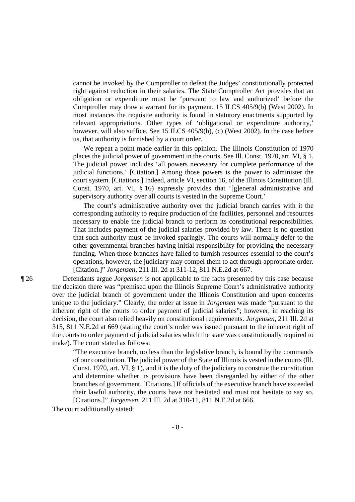cannot be invoked by the Comptroller to defeat the Judges' constitutionally protected right against reduction in their salaries. The State Comptroller Act provides that an obligation or expenditure must be 'pursuant to law and authorized' before the Comptroller may draw a warrant for its payment. 15 ILCS 405/9(b) (West 2002). In most instances the requisite authority is found in statutory enactments supported by relevant appropriations. Other types of 'obligational or expenditure authority,' however, will also suffice. See 15 ILCS 405/9(b), (c) (West 2002). In the case before us, that authority is furnished by a court order.

 We repeat a point made earlier in this opinion. The Illinois Constitution of 1970 places the judicial power of government in the courts. See Ill. Const. 1970, art. VI, § 1. The judicial power includes 'all powers necessary for complete performance of the judicial functions.' [Citation.] Among those powers is the power to administer the court system. [Citations.] Indeed, article VI, section 16, of the Illinois Constitution (Ill. Const. 1970, art. VI, § 16) expressly provides that '[g]eneral administrative and supervisory authority over all courts is vested in the Supreme Court.'

 The court's administrative authority over the judicial branch carries with it the corresponding authority to require production of the facilities, personnel and resources necessary to enable the judicial branch to perform its constitutional responsibilities. That includes payment of the judicial salaries provided by law. There is no question that such authority must be invoked sparingly. The courts will normally defer to the other governmental branches having initial responsibility for providing the necessary funding. When those branches have failed to furnish resources essential to the court's operations, however, the judiciary may compel them to act through appropriate order. [Citation.]" *Jorgensen*, 211 Ill. 2d at 311-12, 811 N.E.2d at 667.

¶ 26 Defendants argue *Jorgensen* is not applicable to the facts presented by this case because the decision there was "premised upon the Illinois Supreme Court's administrative authority over the judicial branch of government under the Illinois Constitution and upon concerns unique to the judiciary." Clearly, the order at issue in *Jorgensen* was made "pursuant to the inherent right of the courts to order payment of judicial salaries"; however, in reaching its decision, the court also relied heavily on constitutional requirements. *Jorgensen*, 211 Ill. 2d at 315, 811 N.E.2d at 669 (stating the court's order was issued pursuant to the inherent right of the courts to order payment of judicial salaries which the state was constitutionally required to make). The court stated as follows:

> "The executive branch, no less than the legislative branch, is bound by the commands of our constitution. The judicial power of the State of Illinois is vested in the courts (Ill. Const. 1970, art. VI, § 1), and it is the duty of the judiciary to construe the constitution and determine whether its provisions have been disregarded by either of the other branches of government. [Citations.] If officials of the executive branch have exceeded their lawful authority, the courts have not hesitated and must not hesitate to say so. [Citations.]" *Jorgensen*, 211 Ill. 2d at 310-11, 811 N.E.2d at 666.

The court additionally stated: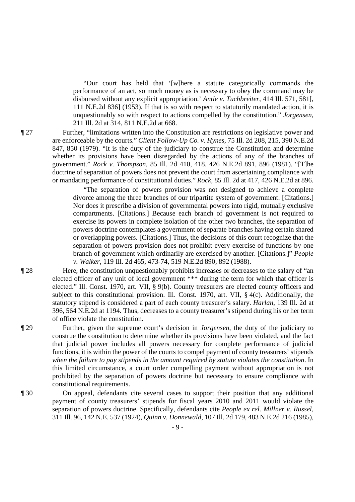"Our court has held that '[w]here a statute categorically commands the performance of an act, so much money as is necessary to obey the command may be disbursed without any explicit appropriation.' *Antle v. Tuchbreiter*, 414 Ill. 571, 581[, 111 N.E.2d 836] (1953). If that is so with respect to statutorily mandated action, it is unquestionably so with respect to actions compelled by the constitution." *Jorgensen*, 211 Ill. 2d at 314, 811 N.E.2d at 668.

¶ 27 Further, "limitations written into the Constitution are restrictions on legislative power and are enforceable by the courts." *Client Follow-Up Co. v. Hynes*, 75 Ill. 2d 208, 215, 390 N.E.2d 847, 850 (1979). "It is the duty of the judiciary to construe the Constitution and determine whether its provisions have been disregarded by the actions of any of the branches of government." *Rock v. Thompson*, 85 Ill. 2d 410, 418, 426 N.E.2d 891, 896 (1981). "[T]he doctrine of separation of powers does not prevent the court from ascertaining compliance with or mandating performance of constitutional duties." *Rock*, 85 Ill. 2d at 417, 426 N.E.2d at 896.

> "The separation of powers provision was not designed to achieve a complete divorce among the three branches of our tripartite system of government. [Citations.] Nor does it prescribe a division of governmental powers into rigid, mutually exclusive compartments. [Citations.] Because each branch of government is not required to exercise its powers in complete isolation of the other two branches, the separation of powers doctrine contemplates a government of separate branches having certain shared or overlapping powers. [Citations.] Thus, the decisions of this court recognize that the separation of powers provision does not prohibit every exercise of functions by one branch of government which ordinarily are exercised by another. [Citations.]" *People v. Walker*, 119 Ill. 2d 465, 473-74, 519 N.E.2d 890, 892 (1988).

¶ 28 Here, the constitution unquestionably prohibits increases or decreases to the salary of "an elected officer of any unit of local government \*\*\* during the term for which that officer is elected." Ill. Const. 1970, art. VII, § 9(b). County treasurers are elected county officers and subject to this constitutional provision. Ill. Const. 1970, art. VII, § 4(c). Additionally, the statutory stipend is considered a part of each county treasurer's salary. *Harlan*, 139 Ill. 2d at 396, 564 N.E.2d at 1194. Thus, decreases to a county treasurer's stipend during his or her term of office violate the constitution.

¶ 29 Further, given the supreme court's decision in *Jorgensen*, the duty of the judiciary to construe the constitution to determine whether its provisions have been violated, and the fact that judicial power includes all powers necessary for complete performance of judicial functions, it is within the power of the courts to compel payment of county treasurers' stipends *when the failure to pay stipends in the amount required by statute violates the constitution*. In this limited circumstance, a court order compelling payment without appropriation is not prohibited by the separation of powers doctrine but necessary to ensure compliance with constitutional requirements.

¶ 30 On appeal, defendants cite several cases to support their position that any additional payment of county treasurers' stipends for fiscal years 2010 and 2011 would violate the separation of powers doctrine. Specifically, defendants cite *People ex rel. Millner v. Russel*, 311 Ill. 96, 142 N.E. 537 (1924), *Quinn v. Donnewald*, 107 Ill. 2d 179, 483 N.E.2d 216 (1985),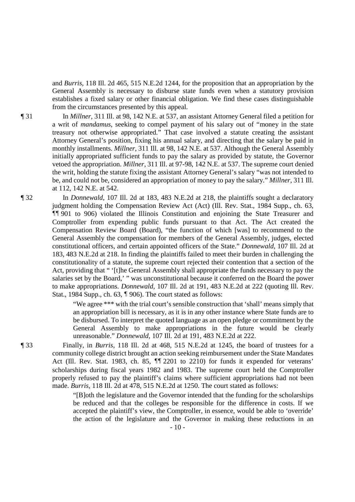and *Burris*, 118 Ill. 2d 465, 515 N.E.2d 1244, for the proposition that an appropriation by the General Assembly is necessary to disburse state funds even when a statutory provision establishes a fixed salary or other financial obligation. We find these cases distinguishable from the circumstances presented by this appeal.

¶ 31 In *Millner*, 311 Ill. at 98, 142 N.E. at 537, an assistant Attorney General filed a petition for a writ of *mandamus*, seeking to compel payment of his salary out of "money in the state treasury not otherwise appropriated." That case involved a statute creating the assistant Attorney General's position, fixing his annual salary, and directing that the salary be paid in monthly installments. *Millner*, 311 Ill. at 98, 142 N.E. at 537. Although the General Assembly initially appropriated sufficient funds to pay the salary as provided by statute, the Governor vetoed the appropriation. *Millner*, 311 Ill. at 97-98, 142 N.E. at 537. The supreme court denied the writ, holding the statute fixing the assistant Attorney General's salary "was not intended to be, and could not be, considered an appropriation of money to pay the salary." *Millner*, 311 Ill. at 112, 142 N.E. at 542.

¶ 32 In *Donnewald*, 107 Ill. 2d at 183, 483 N.E.2d at 218, the plaintiffs sought a declaratory judgment holding the Compensation Review Act (Act) (Ill. Rev. Stat., 1984 Supp., ch. 63, ¶¶ 901 to 906) violated the Illinois Constitution and enjoining the State Treasurer and Comptroller from expending public funds pursuant to that Act. The Act created the Compensation Review Board (Board), "the function of which [was] to recommend to the General Assembly the compensation for members of the General Assembly, judges, elected constitutional officers, and certain appointed officers of the State." *Donnewald*, 107 Ill. 2d at 183, 483 N.E.2d at 218. In finding the plaintiffs failed to meet their burden in challenging the constitutionality of a statute, the supreme court rejected their contention that a section of the Act, providing that " '[t]he General Assembly shall appropriate the funds necessary to pay the salaries set by the Board,' " was unconstitutional because it conferred on the Board the power to make appropriations. *Donnewald*, 107 Ill. 2d at 191, 483 N.E.2d at 222 (quoting Ill. Rev. Stat., 1984 Supp., ch. 63, ¶ 906). The court stated as follows:

> "We agree \*\*\* with the trial court's sensible construction that 'shall' means simply that an appropriation bill is necessary, as it is in any other instance where State funds are to be disbursed. To interpret the quoted language as an open pledge or commitment by the General Assembly to make appropriations in the future would be clearly unreasonable." *Donnewald*, 107 Ill. 2d at 191, 483 N.E.2d at 222.

¶ 33 Finally, in *Burris*, 118 Ill. 2d at 468, 515 N.E.2d at 1245, the board of trustees for a community college district brought an action seeking reimbursement under the State Mandates Act (Ill. Rev. Stat. 1983, ch. 85, ¶¶ 2201 to 2210) for funds it expended for veterans' scholarships during fiscal years 1982 and 1983. The supreme court held the Comptroller properly refused to pay the plaintiff's claims where sufficient appropriations had not been made. *Burris*, 118 Ill. 2d at 478, 515 N.E.2d at 1250. The court stated as follows:

> "[B]oth the legislature and the Governor intended that the funding for the scholarships be reduced and that the colleges be responsible for the difference in costs. If we accepted the plaintiff's view, the Comptroller, in essence, would be able to 'override' the action of the legislature and the Governor in making these reductions in an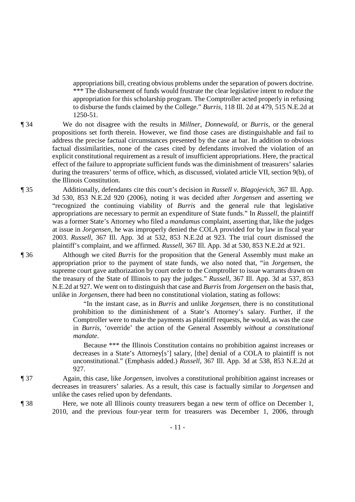appropriations bill, creating obvious problems under the separation of powers doctrine. \*\*\* The disbursement of funds would frustrate the clear legislative intent to reduce the appropriation for this scholarship program. The Comptroller acted properly in refusing to disburse the funds claimed by the College." *Burris*, 118 Ill. 2d at 479, 515 N.E.2d at 1250-51.

¶ 34 We do not disagree with the results in *Millner*, *Donnewald*, or *Burris*, or the general propositions set forth therein. However, we find those cases are distinguishable and fail to address the precise factual circumstances presented by the case at bar. In addition to obvious factual dissimilarities, none of the cases cited by defendants involved the violation of an explicit constitutional requirement as a result of insufficient appropriations. Here, the practical effect of the failure to appropriate sufficient funds was the diminishment of treasurers' salaries during the treasurers' terms of office, which, as discussed, violated article VII, section 9(b), of the Illinois Constitution.

¶ 35 Additionally, defendants cite this court's decision in *Russell v. Blagojevich*, 367 Ill. App. 3d 530, 853 N.E.2d 920 (2006), noting it was decided after *Jorgensen* and asserting we "recognized the continuing viability of *Burris* and the general rule that legislative appropriations are necessary to permit an expenditure of State funds." In *Russell*, the plaintiff was a former State's Attorney who filed a *mandamus* complaint, asserting that, like the judges at issue in *Jorgensen*, he was improperly denied the COLA provided for by law in fiscal year 2003. *Russell*, 367 Ill. App. 3d at 532, 853 N.E.2d at 923. The trial court dismissed the plaintiff's complaint, and we affirmed. *Russell*, 367 Ill. App. 3d at 530, 853 N.E.2d at 921.

¶ 36 Although we cited *Burris* for the proposition that the General Assembly must make an appropriation prior to the payment of state funds, we also noted that, "in *Jorgensen*, the supreme court gave authorization by court order to the Comptroller to issue warrants drawn on the treasury of the State of Illinois to pay the judges." *Russell*, 367 Ill. App. 3d at 537, 853 N.E.2d at 927. We went on to distinguish that case and *Burris* from *Jorgensen* on the basis that, unlike in *Jorgensen*, there had been no constitutional violation, stating as follows:

> "In the instant case, as in *Burris* and unlike *Jorgensen*, there is no constitutional prohibition to the diminishment of a State's Attorney's salary. Further, if the Comptroller were to make the payments as plaintiff requests, he would, as was the case in *Burris*, 'override' the action of the General Assembly *without a constitutional mandate*.

> Because \*\*\* the Illinois Constitution contains no prohibition against increases or decreases in a State's Attorney[s'] salary, [the] denial of a COLA to plaintiff is not unconstitutional." (Emphasis added.) *Russell*, 367 Ill. App. 3d at 538, 853 N.E.2d at 927.

¶ 37 Again, this case, like *Jorgensen*, involves a constitutional prohibition against increases or decreases in treasurers' salaries. As a result, this case is factually similar to *Jorgensen* and unlike the cases relied upon by defendants.

¶ 38 Here, we note all Illinois county treasurers began a new term of office on December 1, 2010, and the previous four-year term for treasurers was December 1, 2006, through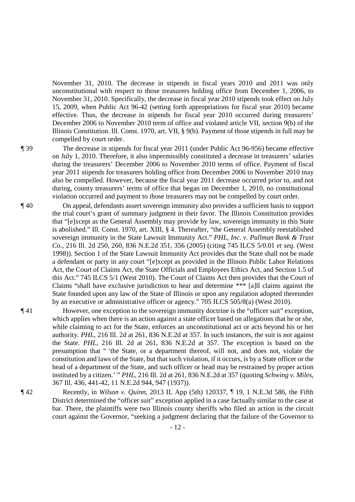November 31, 2010. The decrease in stipends in fiscal years 2010 and 2011 was only unconstitutional with respect to those treasurers holding office from December 1, 2006, to November 31, 2010. Specifically, the decrease in fiscal year 2010 stipends took effect on July 15, 2009, when Public Act 96-42 (setting forth appropriations for fiscal year 2010) became effective. Thus, the decrease in stipends for fiscal year 2010 occurred during treasurers' December 2006 to November 2010 term of office and violated article VII, section 9(b) of the Illinois Constitution. Ill. Const. 1970, art. VII, § 9(b). Payment of those stipends in full may be compelled by court order.

¶ 39 The decrease in stipends for fiscal year 2011 (under Public Act 96-956) became effective on July 1, 2010. Therefore, it also impermissibly constituted a decrease in treasurers' salaries during the treasurers' December 2006 to November 2010 terms of office. Payment of fiscal year 2011 stipends for treasurers holding office from December 2006 to November 2010 may also be compelled. However, because the fiscal year 2011 decrease occurred prior to, and not during, county treasurers' terms of office that began on December 1, 2010, no constitutional violation occurred and payment to those treasurers may not be compelled by court order.

- ¶ 40 On appeal, defendants assert sovereign immunity also provides a sufficient basis to support the trial court's grant of summary judgment in their favor. The Illinois Constitution provides that "[e]xcept as the General Assembly may provide by law, sovereign immunity in this State is abolished." Ill. Const. 1970, art. XIII, § 4. Thereafter, "the General Assembly reestablished sovereign immunity in the State Lawsuit Immunity Act." *PHL, Inc. v. Pullman Bank & Trust Co.*, 216 Ill. 2d 250, 260, 836 N.E.2d 351, 356 (2005) (citing 745 ILCS 5/0.01 *et seq.* (West 1998)). Section 1 of the State Lawsuit Immunity Act provides that the State shall not be made a defendant or party in any court "[e]xcept as provided in the Illinois Public Labor Relations Act, the Court of Claims Act, the State Officials and Employees Ethics Act, and Section 1.5 of this Act." 745 ILCS 5/1 (West 2010). The Court of Claims Act then provides that the Court of Claims "shall have exclusive jurisdiction to hear and determine \*\*\* [a]ll claims against the State founded upon any law of the State of Illinois or upon any regulation adopted thereunder by an executive or administrative officer or agency." 705 ILCS 505/8(a) (West 2010).
- ¶ 41 However, one exception to the sovereign immunity doctrine is the "officer suit" exception, which applies when there is an action against a state officer based on allegations that he or she, while claiming to act for the State, enforces an unconstitutional act or acts beyond his or her authority. *PHL*, 216 Ill. 2d at 261, 836 N.E.2d at 357. In such instances, the suit is not against the State. *PHL*, 216 Ill. 2d at 261, 836 N.E.2d at 357. The exception is based on the presumption that " 'the State, or a department thereof, will not, and does not, violate the constitution and laws of the State, but that such violation, if it occurs, is by a State officer or the head of a department of the State, and such officer or head may be restrained by proper action instituted by a citizen.' " *PHL*, 216 Ill. 2d at 261, 836 N.E.2d at 357 (quoting *Schwing v. Miles*, 367 Ill. 436, 441-42, 11 N.E.2d 944, 947 (1937)).
- ¶ 42 Recently, in *Wilson v. Quinn*, 2013 IL App (5th) 120337, ¶ 19, 1 N.E.3d 586, the Fifth District determined the "officer suit" exception applied in a case factually similar to the case at bar. There, the plaintiffs were two Illinois county sheriffs who filed an action in the circuit court against the Governor, "seeking a judgment declaring that the failure of the Governor to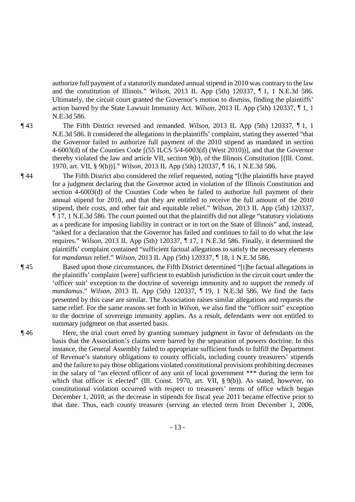authorize full payment of a statutorily mandated annual stipend in 2010 was contrary to the law and the constitution of Illinois." *Wilson*, 2013 IL App (5th) 120337, ¶ 1, 1 N.E.3d 586. Ultimately, the circuit court granted the Governor's motion to dismiss, finding the plaintiffs' action barred by the State Lawsuit Immunity Act. *Wilson*, 2013 IL App (5th) 120337, ¶ 1, 1 N.E.3d 586.

¶ 43 The Fifth District reversed and remanded. *Wilson*, 2013 IL App (5th) 120337, ¶ 1, 1 N.E.3d 586. It considered the allegations in the plaintiffs' complaint, stating they asserted "that the Governor failed to authorize full payment of the 2010 stipend as mandated in section 4-6003(d) of the Counties Code [(55 ILCS 5/4-6003(d) (West 2010))], and that the Governor thereby violated the law and article VII, section 9(b), of the Illinois Constitution [(Ill. Const. 1970, art. VII, § 9(b))]." *Wilson*, 2013 IL App (5th) 120337, ¶ 16, 1 N.E.3d 586.

¶ 44 The Fifth District also considered the relief requested, noting "[t]he plaintiffs have prayed for a judgment declaring that the Governor acted in violation of the Illinois Constitution and section 4-6003(d) of the Counties Code when he failed to authorize full payment of their annual stipend for 2010, and that they are entitled to receive the full amount of the 2010 stipend, their costs, and other fair and equitable relief." *Wilson*, 2013 IL App (5th) 120337, ¶ 17, 1 N.E.3d 586. The court pointed out that the plaintiffs did not allege "statutory violations as a predicate for imposing liability in contract or in tort on the State of Illinois" and, instead, "asked for a declaration that the Governor has failed and continues to fail to do what the law requires." *Wilson*, 2013 IL App (5th) 120337, ¶ 17, 1 N.E.3d 586. Finally, it determined the plaintiffs' complaint contained "sufficient factual allegations to satisfy the necessary elements for *mandamus* relief." *Wilson*, 2013 IL App (5th) 120337, ¶ 18, 1 N.E.3d 586.

¶ 45 Based upon those circumstances, the Fifth District determined "[t]he factual allegations in the plaintiffs' complaint [were] sufficient to establish jurisdiction in the circuit court under the 'officer suit' exception to the doctrine of sovereign immunity and to support the remedy of *mandamus*." *Wilson*, 2013 IL App (5th) 120337, ¶ 19, 1 N.E.3d 586. We find the facts presented by this case are similar. The Association raises similar allegations and requests the same relief. For the same reasons set forth in *Wilson*, we also find the "officer suit" exception to the doctrine of sovereign immunity applies. As a result, defendants were not entitled to summary judgment on that asserted basis.

¶ 46 Here, the trial court erred by granting summary judgment in favor of defendants on the basis that the Association's claims were barred by the separation of powers doctrine. In this instance, the General Assembly failed to appropriate sufficient funds to fulfill the Department of Revenue's statutory obligations to county officials, including county treasurers' stipends and the failure to pay those obligations violated constitutional provisions prohibiting decreases in the salary of "an elected officer of any unit of local government \*\*\* during the term for which that officer is elected" (Ill. Const. 1970, art. VII, § 9(b)). As stated, however, no constitutional violation occurred with respect to treasurers' terms of office which began December 1, 2010, as the decrease in stipends for fiscal year 2011 became effective prior to that date. Thus, each county treasurer (serving an elected term from December 1, 2006,

- 13 -